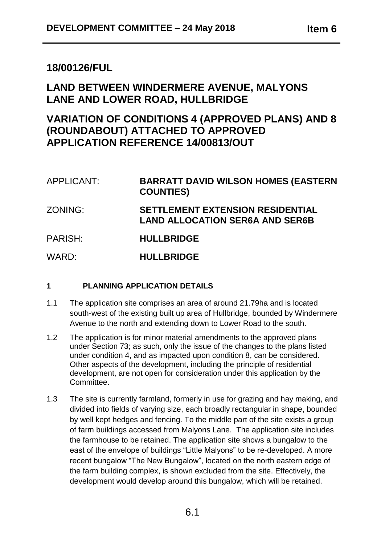# **18/00126/FUL**

# **LAND BETWEEN WINDERMERE AVENUE, MALYONS LANE AND LOWER ROAD, HULLBRIDGE**

# **VARIATION OF CONDITIONS 4 (APPROVED PLANS) AND 8 (ROUNDABOUT) ATTACHED TO APPROVED APPLICATION REFERENCE 14/00813/OUT**

APPLICANT: **BARRATT DAVID WILSON HOMES (EASTERN COUNTIES)**  ZONING: **SETTLEMENT EXTENSION RESIDENTIAL LAND ALLOCATION SER6A AND SER6B** PARISH: **HULLBRIDGE**  WARD: **HULLBRIDGE**

# **1 PLANNING APPLICATION DETAILS**

- 1.1 The application site comprises an area of around 21.79ha and is located south-west of the existing built up area of Hullbridge, bounded by Windermere Avenue to the north and extending down to Lower Road to the south.
- 1.2 The application is for minor material amendments to the approved plans under Section 73; as such, only the issue of the changes to the plans listed under condition 4, and as impacted upon condition 8, can be considered. Other aspects of the development, including the principle of residential development, are not open for consideration under this application by the Committee.
- 1.3 The site is currently farmland, formerly in use for grazing and hay making, and divided into fields of varying size, each broadly rectangular in shape, bounded by well kept hedges and fencing. To the middle part of the site exists a group of farm buildings accessed from Malyons Lane. The application site includes the farmhouse to be retained. The application site shows a bungalow to the east of the envelope of buildings "Little Malyons" to be re-developed. A more recent bungalow "The New Bungalow", located on the north eastern edge of the farm building complex, is shown excluded from the site. Effectively, the development would develop around this bungalow, which will be retained.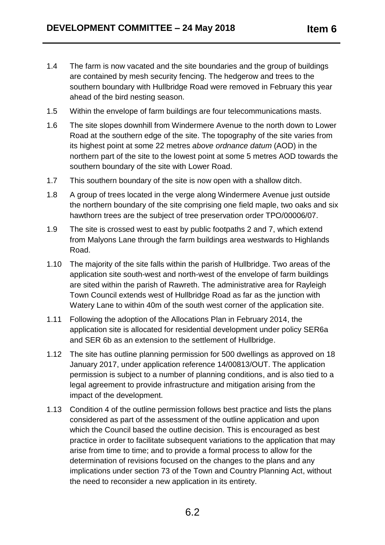- 1.4 The farm is now vacated and the site boundaries and the group of buildings are contained by mesh security fencing. The hedgerow and trees to the southern boundary with Hullbridge Road were removed in February this year ahead of the bird nesting season.
- 1.5 Within the envelope of farm buildings are four telecommunications masts.
- 1.6 The site slopes downhill from Windermere Avenue to the north down to Lower Road at the southern edge of the site. The topography of the site varies from its highest point at some 22 metres *above ordnance datum* (AOD) in the northern part of the site to the lowest point at some 5 metres AOD towards the southern boundary of the site with Lower Road.
- 1.7 This southern boundary of the site is now open with a shallow ditch.
- 1.8 A group of trees located in the verge along Windermere Avenue just outside the northern boundary of the site comprising one field maple, two oaks and six hawthorn trees are the subject of tree preservation order TPO/00006/07.
- 1.9 The site is crossed west to east by public footpaths 2 and 7, which extend from Malyons Lane through the farm buildings area westwards to Highlands Road.
- 1.10 The majority of the site falls within the parish of Hullbridge. Two areas of the application site south-west and north-west of the envelope of farm buildings are sited within the parish of Rawreth. The administrative area for Rayleigh Town Council extends west of Hullbridge Road as far as the junction with Watery Lane to within 40m of the south west corner of the application site.
- 1.11 Following the adoption of the Allocations Plan in February 2014, the application site is allocated for residential development under policy SER6a and SER 6b as an extension to the settlement of Hullbridge.
- 1.12 The site has outline planning permission for 500 dwellings as approved on 18 January 2017, under application reference 14/00813/OUT. The application permission is subject to a number of planning conditions, and is also tied to a legal agreement to provide infrastructure and mitigation arising from the impact of the development.
- 1.13 Condition 4 of the outline permission follows best practice and lists the plans considered as part of the assessment of the outline application and upon which the Council based the outline decision. This is encouraged as best practice in order to facilitate subsequent variations to the application that may arise from time to time; and to provide a formal process to allow for the determination of revisions focused on the changes to the plans and any implications under section 73 of the Town and Country Planning Act, without the need to reconsider a new application in its entirety.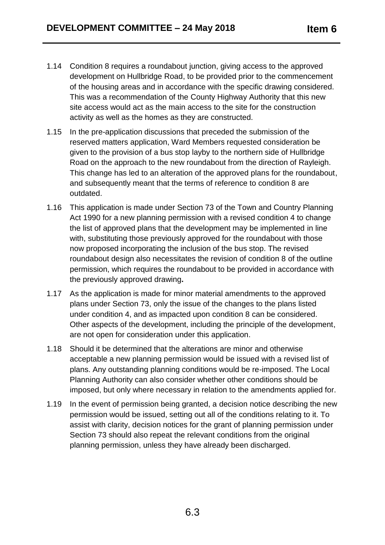- 1.14 Condition 8 requires a roundabout junction, giving access to the approved development on Hullbridge Road, to be provided prior to the commencement of the housing areas and in accordance with the specific drawing considered. This was a recommendation of the County Highway Authority that this new site access would act as the main access to the site for the construction activity as well as the homes as they are constructed.
- 1.15 In the pre-application discussions that preceded the submission of the reserved matters application, Ward Members requested consideration be given to the provision of a bus stop layby to the northern side of Hullbridge Road on the approach to the new roundabout from the direction of Rayleigh. This change has led to an alteration of the approved plans for the roundabout, and subsequently meant that the terms of reference to condition 8 are outdated.
- 1.16 This application is made under Section 73 of the Town and Country Planning Act 1990 for a new planning permission with a revised condition 4 to change the list of approved plans that the development may be implemented in line with, substituting those previously approved for the roundabout with those now proposed incorporating the inclusion of the bus stop. The revised roundabout design also necessitates the revision of condition 8 of the outline permission, which requires the roundabout to be provided in accordance with the previously approved drawing**.**
- 1.17 As the application is made for minor material amendments to the approved plans under Section 73, only the issue of the changes to the plans listed under condition 4, and as impacted upon condition 8 can be considered. Other aspects of the development, including the principle of the development, are not open for consideration under this application.
- 1.18 Should it be determined that the alterations are minor and otherwise acceptable a new planning permission would be issued with a revised list of plans. Any outstanding planning conditions would be re-imposed. The Local Planning Authority can also consider whether other conditions should be imposed, but only where necessary in relation to the amendments applied for.
- 1.19 In the event of permission being granted, a decision notice describing the new permission would be issued, setting out all of the conditions relating to it. To assist with clarity, decision notices for the grant of planning permission under Section 73 should also repeat the relevant conditions from the original planning permission, unless they have already been discharged.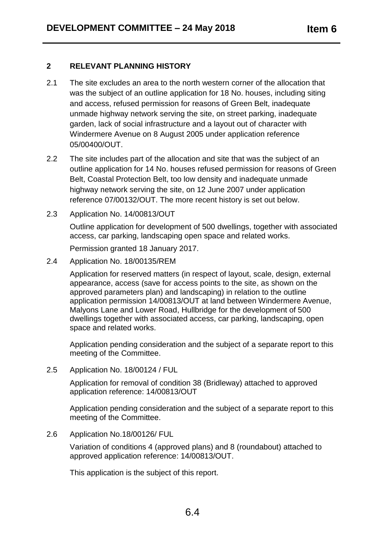# **2 RELEVANT PLANNING HISTORY**

- 2.1 The site excludes an area to the north western corner of the allocation that was the subject of an outline application for 18 No. houses, including siting and access, refused permission for reasons of Green Belt, inadequate unmade highway network serving the site, on street parking, inadequate garden, lack of social infrastructure and a layout out of character with Windermere Avenue on 8 August 2005 under application reference 05/00400/OUT.
- 2.2 The site includes part of the allocation and site that was the subject of an outline application for 14 No. houses refused permission for reasons of Green Belt, Coastal Protection Belt, too low density and inadequate unmade highway network serving the site, on 12 June 2007 under application reference 07/00132/OUT. The more recent history is set out below.
- 2.3 Application No. 14/00813/OUT

Outline application for development of 500 dwellings, together with associated access, car parking, landscaping open space and related works.

Permission granted 18 January 2017.

2.4 Application No. 18/00135/REM

Application for reserved matters (in respect of layout, scale, design, external appearance, access (save for access points to the site, as shown on the approved parameters plan) and landscaping) in relation to the outline application permission 14/00813/OUT at land between Windermere Avenue, Malyons Lane and Lower Road, Hullbridge for the development of 500 dwellings together with associated access, car parking, landscaping, open space and related works.

Application pending consideration and the subject of a separate report to this meeting of the Committee.

2.5 Application No. 18/00124 / FUL

Application for removal of condition 38 (Bridleway) attached to approved application reference: 14/00813/OUT

Application pending consideration and the subject of a separate report to this meeting of the Committee.

2.6 Application No.18/00126/ FUL

Variation of conditions 4 (approved plans) and 8 (roundabout) attached to approved application reference: 14/00813/OUT.

This application is the subject of this report.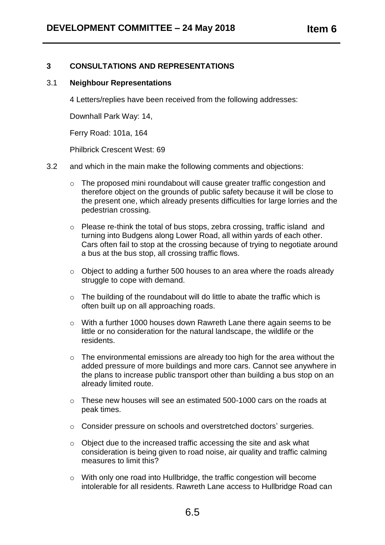# **3 CONSULTATIONS AND REPRESENTATIONS**

#### 3.1 **Neighbour Representations**

4 Letters/replies have been received from the following addresses:

Downhall Park Way: 14,

Ferry Road: 101a, 164

Philbrick Crescent West: 69

- 3.2 and which in the main make the following comments and objections:
	- o The proposed mini roundabout will cause greater traffic congestion and therefore object on the grounds of public safety because it will be close to the present one, which already presents difficulties for large lorries and the pedestrian crossing.
	- o Please re-think the total of bus stops, zebra crossing, traffic island and turning into Budgens along Lower Road, all within yards of each other. Cars often fail to stop at the crossing because of trying to negotiate around a bus at the bus stop, all crossing traffic flows.
	- o Object to adding a further 500 houses to an area where the roads already struggle to cope with demand.
	- o The building of the roundabout will do little to abate the traffic which is often built up on all approaching roads.
	- o With a further 1000 houses down Rawreth Lane there again seems to be little or no consideration for the natural landscape, the wildlife or the residents.
	- o The environmental emissions are already too high for the area without the added pressure of more buildings and more cars. Cannot see anywhere in the plans to increase public transport other than building a bus stop on an already limited route.
	- $\circ$  These new houses will see an estimated 500-1000 cars on the roads at peak times.
	- o Consider pressure on schools and overstretched doctors' surgeries.
	- o Object due to the increased traffic accessing the site and ask what consideration is being given to road noise, air quality and traffic calming measures to limit this?
	- o With only one road into Hullbridge, the traffic congestion will become intolerable for all residents. Rawreth Lane access to Hullbridge Road can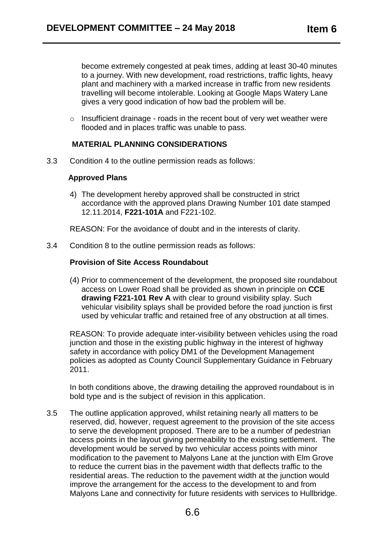become extremely congested at peak times, adding at least 30-40 minutes to a journey. With new development, road restrictions, traffic lights, heavy plant and machinery with a marked increase in traffic from new residents travelling will become intolerable. Looking at Google Maps Watery Lane gives a very good indication of how bad the problem will be.

 $\circ$  Insufficient drainage - roads in the recent bout of very wet weather were flooded and in places traffic was unable to pass.

### **MATERIAL PLANNING CONSIDERATIONS**

3.3 Condition 4 to the outline permission reads as follows:

#### **Approved Plans**

4) The development hereby approved shall be constructed in strict accordance with the approved plans Drawing Number 101 date stamped 12.11.2014, **F221-101A** and F221-102.

REASON: For the avoidance of doubt and in the interests of clarity.

3.4 Condition 8 to the outline permission reads as follows:

#### **Provision of Site Access Roundabout**

(4) Prior to commencement of the development, the proposed site roundabout access on Lower Road shall be provided as shown in principle on **CCE drawing F221-101 Rev A** with clear to ground visibility splay. Such vehicular visibility splays shall be provided before the road junction is first used by vehicular traffic and retained free of any obstruction at all times.

REASON: To provide adequate inter-visibility between vehicles using the road junction and those in the existing public highway in the interest of highway safety in accordance with policy DM1 of the Development Management policies as adopted as County Council Supplementary Guidance in February 2011.

In both conditions above, the drawing detailing the approved roundabout is in bold type and is the subject of revision in this application.

3.5 The outline application approved, whilst retaining nearly all matters to be reserved, did, however, request agreement to the provision of the site access to serve the development proposed. There are to be a number of pedestrian access points in the layout giving permeability to the existing settlement. The development would be served by two vehicular access points with minor modification to the pavement to Malyons Lane at the junction with Elm Grove to reduce the current bias in the pavement width that deflects traffic to the residential areas. The reduction to the pavement width at the junction would improve the arrangement for the access to the development to and from Malyons Lane and connectivity for future residents with services to Hullbridge.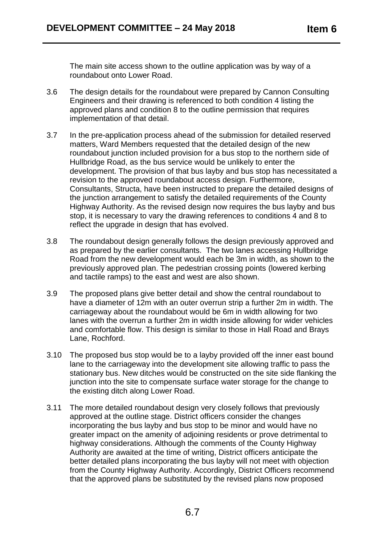The main site access shown to the outline application was by way of a roundabout onto Lower Road.

- 3.6 The design details for the roundabout were prepared by Cannon Consulting Engineers and their drawing is referenced to both condition 4 listing the approved plans and condition 8 to the outline permission that requires implementation of that detail.
- 3.7 In the pre-application process ahead of the submission for detailed reserved matters, Ward Members requested that the detailed design of the new roundabout junction included provision for a bus stop to the northern side of Hullbridge Road, as the bus service would be unlikely to enter the development. The provision of that bus layby and bus stop has necessitated a revision to the approved roundabout access design. Furthermore, Consultants, Structa, have been instructed to prepare the detailed designs of the junction arrangement to satisfy the detailed requirements of the County Highway Authority. As the revised design now requires the bus layby and bus stop, it is necessary to vary the drawing references to conditions 4 and 8 to reflect the upgrade in design that has evolved.
- 3.8 The roundabout design generally follows the design previously approved and as prepared by the earlier consultants. The two lanes accessing Hullbridge Road from the new development would each be 3m in width, as shown to the previously approved plan. The pedestrian crossing points (lowered kerbing and tactile ramps) to the east and west are also shown.
- 3.9 The proposed plans give better detail and show the central roundabout to have a diameter of 12m with an outer overrun strip a further 2m in width. The carriageway about the roundabout would be 6m in width allowing for two lanes with the overrun a further 2m in width inside allowing for wider vehicles and comfortable flow. This design is similar to those in Hall Road and Brays Lane, Rochford.
- 3.10 The proposed bus stop would be to a layby provided off the inner east bound lane to the carriageway into the development site allowing traffic to pass the stationary bus. New ditches would be constructed on the site side flanking the junction into the site to compensate surface water storage for the change to the existing ditch along Lower Road.
- 3.11 The more detailed roundabout design very closely follows that previously approved at the outline stage. District officers consider the changes incorporating the bus layby and bus stop to be minor and would have no greater impact on the amenity of adjoining residents or prove detrimental to highway considerations. Although the comments of the County Highway Authority are awaited at the time of writing, District officers anticipate the better detailed plans incorporating the bus layby will not meet with objection from the County Highway Authority. Accordingly, District Officers recommend that the approved plans be substituted by the revised plans now proposed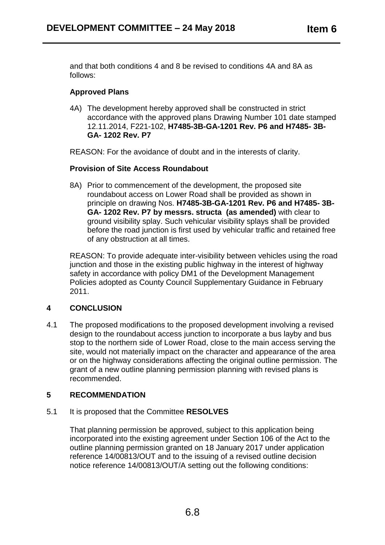and that both conditions 4 and 8 be revised to conditions 4A and 8A as follows:

# **Approved Plans**

4A) The development hereby approved shall be constructed in strict accordance with the approved plans Drawing Number 101 date stamped 12.11.2014, F221-102, **H7485-3B-GA-1201 Rev. P6 and H7485- 3B-GA- 1202 Rev. P7**

REASON: For the avoidance of doubt and in the interests of clarity.

# **Provision of Site Access Roundabout**

8A) Prior to commencement of the development, the proposed site roundabout access on Lower Road shall be provided as shown in principle on drawing Nos. **H7485-3B-GA-1201 Rev. P6 and H7485- 3B-GA- 1202 Rev. P7 by messrs. structa (as amended)** with clear to ground visibility splay. Such vehicular visibility splays shall be provided before the road junction is first used by vehicular traffic and retained free of any obstruction at all times.

REASON: To provide adequate inter-visibility between vehicles using the road junction and those in the existing public highway in the interest of highway safety in accordance with policy DM1 of the Development Management Policies adopted as County Council Supplementary Guidance in February 2011.

# **4 CONCLUSION**

4.1 The proposed modifications to the proposed development involving a revised design to the roundabout access junction to incorporate a bus layby and bus stop to the northern side of Lower Road, close to the main access serving the site, would not materially impact on the character and appearance of the area or on the highway considerations affecting the original outline permission. The grant of a new outline planning permission planning with revised plans is recommended.

# **5 RECOMMENDATION**

# 5.1 It is proposed that the Committee **RESOLVES**

That planning permission be approved, subject to this application being incorporated into the existing agreement under Section 106 of the Act to the outline planning permission granted on 18 January 2017 under application reference 14/00813/OUT and to the issuing of a revised outline decision notice reference 14/00813/OUT/A setting out the following conditions: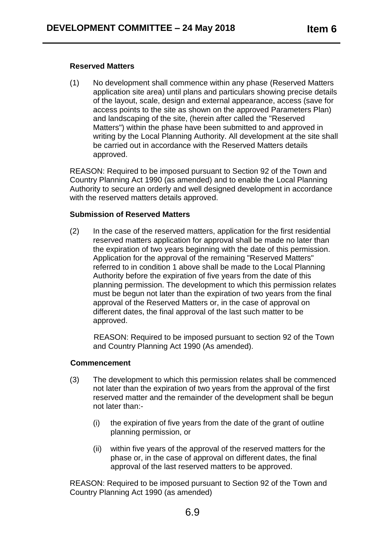#### **Reserved Matters**

(1) No development shall commence within any phase (Reserved Matters application site area) until plans and particulars showing precise details of the layout, scale, design and external appearance, access (save for access points to the site as shown on the approved Parameters Plan) and landscaping of the site, (herein after called the "Reserved Matters") within the phase have been submitted to and approved in writing by the Local Planning Authority. All development at the site shall be carried out in accordance with the Reserved Matters details approved.

REASON: Required to be imposed pursuant to Section 92 of the Town and Country Planning Act 1990 (as amended) and to enable the Local Planning Authority to secure an orderly and well designed development in accordance with the reserved matters details approved.

#### **Submission of Reserved Matters**

(2) In the case of the reserved matters, application for the first residential reserved matters application for approval shall be made no later than the expiration of two years beginning with the date of this permission. Application for the approval of the remaining "Reserved Matters" referred to in condition 1 above shall be made to the Local Planning Authority before the expiration of five years from the date of this planning permission. The development to which this permission relates must be begun not later than the expiration of two years from the final approval of the Reserved Matters or, in the case of approval on different dates, the final approval of the last such matter to be approved.

 REASON: Required to be imposed pursuant to section 92 of the Town and Country Planning Act 1990 (As amended).

#### **Commencement**

- (3) The development to which this permission relates shall be commenced not later than the expiration of two years from the approval of the first reserved matter and the remainder of the development shall be begun not later than:-
	- (i) the expiration of five years from the date of the grant of outline planning permission, or
	- (ii) within five years of the approval of the reserved matters for the phase or, in the case of approval on different dates, the final approval of the last reserved matters to be approved.

REASON: Required to be imposed pursuant to Section 92 of the Town and Country Planning Act 1990 (as amended)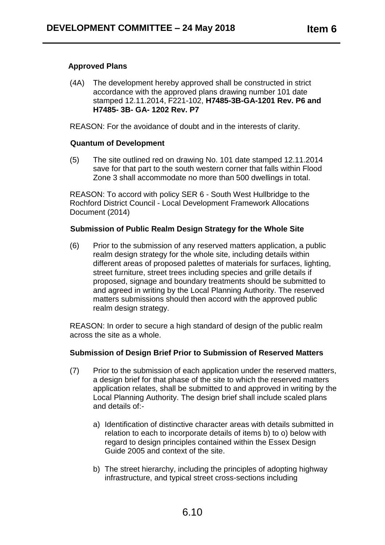#### **Approved Plans**

(4A) The development hereby approved shall be constructed in strict accordance with the approved plans drawing number 101 date stamped 12.11.2014, F221-102, **H7485-3B-GA-1201 Rev. P6 and H7485- 3B- GA- 1202 Rev. P7**

REASON: For the avoidance of doubt and in the interests of clarity.

#### **Quantum of Development**

(5) The site outlined red on drawing No. 101 date stamped 12.11.2014 save for that part to the south western corner that falls within Flood Zone 3 shall accommodate no more than 500 dwellings in total.

REASON: To accord with policy SER 6 - South West Hullbridge to the Rochford District Council - Local Development Framework Allocations Document (2014)

#### **Submission of Public Realm Design Strategy for the Whole Site**

(6) Prior to the submission of any reserved matters application, a public realm design strategy for the whole site, including details within different areas of proposed palettes of materials for surfaces, lighting, street furniture, street trees including species and grille details if proposed, signage and boundary treatments should be submitted to and agreed in writing by the Local Planning Authority. The reserved matters submissions should then accord with the approved public realm design strategy.

REASON: In order to secure a high standard of design of the public realm across the site as a whole.

#### **Submission of Design Brief Prior to Submission of Reserved Matters**

- (7) Prior to the submission of each application under the reserved matters, a design brief for that phase of the site to which the reserved matters application relates, shall be submitted to and approved in writing by the Local Planning Authority. The design brief shall include scaled plans and details of:
	- a) Identification of distinctive character areas with details submitted in relation to each to incorporate details of items b) to o) below with regard to design principles contained within the Essex Design Guide 2005 and context of the site.
	- b) The street hierarchy, including the principles of adopting highway infrastructure, and typical street cross-sections including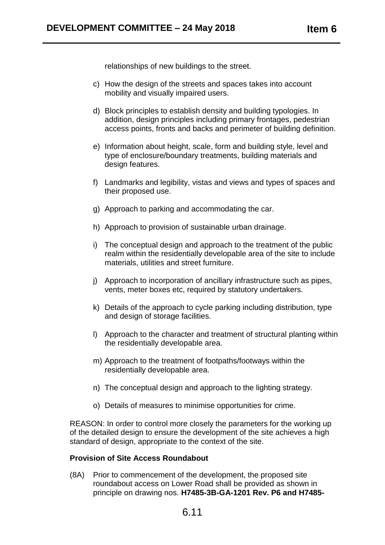relationships of new buildings to the street.

- c) How the design of the streets and spaces takes into account mobility and visually impaired users.
- d) Block principles to establish density and building typologies. In addition, design principles including primary frontages, pedestrian access points, fronts and backs and perimeter of building definition.
- e) Information about height, scale, form and building style, level and type of enclosure/boundary treatments, building materials and design features.
- f) Landmarks and legibility, vistas and views and types of spaces and their proposed use.
- g) Approach to parking and accommodating the car.
- h) Approach to provision of sustainable urban drainage.
- i) The conceptual design and approach to the treatment of the public realm within the residentially developable area of the site to include materials, utilities and street furniture.
- j) Approach to incorporation of ancillary infrastructure such as pipes, vents, meter boxes etc, required by statutory undertakers.
- k) Details of the approach to cycle parking including distribution, type and design of storage facilities.
- l) Approach to the character and treatment of structural planting within the residentially developable area.
- m) Approach to the treatment of footpaths/footways within the residentially developable area.
- n) The conceptual design and approach to the lighting strategy.
- o) Details of measures to minimise opportunities for crime.

REASON: In order to control more closely the parameters for the working up of the detailed design to ensure the development of the site achieves a high standard of design, appropriate to the context of the site.

#### **Provision of Site Access Roundabout**

(8A) Prior to commencement of the development, the proposed site roundabout access on Lower Road shall be provided as shown in principle on drawing nos. **H7485-3B-GA-1201 Rev. P6 and H7485-**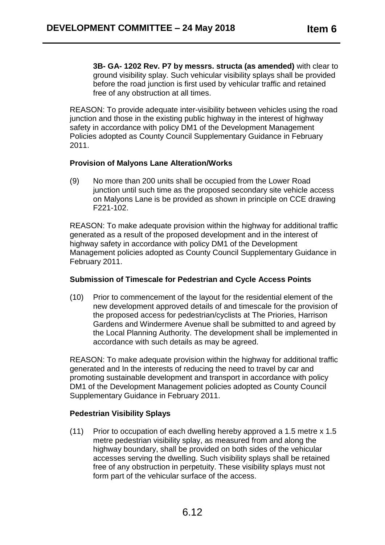**3B- GA- 1202 Rev. P7 by messrs. structa (as amended)** with clear to ground visibility splay. Such vehicular visibility splays shall be provided before the road junction is first used by vehicular traffic and retained free of any obstruction at all times.

REASON: To provide adequate inter-visibility between vehicles using the road junction and those in the existing public highway in the interest of highway safety in accordance with policy DM1 of the Development Management Policies adopted as County Council Supplementary Guidance in February 2011.

#### **Provision of Malyons Lane Alteration/Works**

(9) No more than 200 units shall be occupied from the Lower Road junction until such time as the proposed secondary site vehicle access on Malyons Lane is be provided as shown in principle on CCE drawing F221-102.

REASON: To make adequate provision within the highway for additional traffic generated as a result of the proposed development and in the interest of highway safety in accordance with policy DM1 of the Development Management policies adopted as County Council Supplementary Guidance in February 2011.

#### **Submission of Timescale for Pedestrian and Cycle Access Points**

(10) Prior to commencement of the layout for the residential element of the new development approved details of and timescale for the provision of the proposed access for pedestrian/cyclists at The Priories, Harrison Gardens and Windermere Avenue shall be submitted to and agreed by the Local Planning Authority. The development shall be implemented in accordance with such details as may be agreed.

REASON: To make adequate provision within the highway for additional traffic generated and In the interests of reducing the need to travel by car and promoting sustainable development and transport in accordance with policy DM1 of the Development Management policies adopted as County Council Supplementary Guidance in February 2011.

# **Pedestrian Visibility Splays**

(11) Prior to occupation of each dwelling hereby approved a 1.5 metre x 1.5 metre pedestrian visibility splay, as measured from and along the highway boundary, shall be provided on both sides of the vehicular accesses serving the dwelling. Such visibility splays shall be retained free of any obstruction in perpetuity. These visibility splays must not form part of the vehicular surface of the access.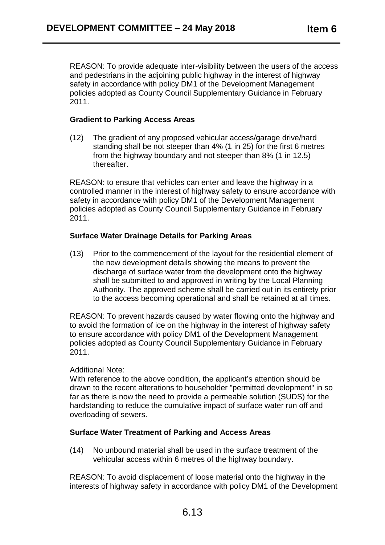REASON: To provide adequate inter-visibility between the users of the access and pedestrians in the adjoining public highway in the interest of highway safety in accordance with policy DM1 of the Development Management policies adopted as County Council Supplementary Guidance in February 2011.

### **Gradient to Parking Access Areas**

(12) The gradient of any proposed vehicular access/garage drive/hard standing shall be not steeper than 4% (1 in 25) for the first 6 metres from the highway boundary and not steeper than 8% (1 in 12.5) thereafter.

REASON: to ensure that vehicles can enter and leave the highway in a controlled manner in the interest of highway safety to ensure accordance with safety in accordance with policy DM1 of the Development Management policies adopted as County Council Supplementary Guidance in February 2011.

### **Surface Water Drainage Details for Parking Areas**

(13) Prior to the commencement of the layout for the residential element of the new development details showing the means to prevent the discharge of surface water from the development onto the highway shall be submitted to and approved in writing by the Local Planning Authority. The approved scheme shall be carried out in its entirety prior to the access becoming operational and shall be retained at all times.

REASON: To prevent hazards caused by water flowing onto the highway and to avoid the formation of ice on the highway in the interest of highway safety to ensure accordance with policy DM1 of the Development Management policies adopted as County Council Supplementary Guidance in February 2011.

#### Additional Note:

With reference to the above condition, the applicant's attention should be drawn to the recent alterations to householder "permitted development" in so far as there is now the need to provide a permeable solution (SUDS) for the hardstanding to reduce the cumulative impact of surface water run off and overloading of sewers.

#### **Surface Water Treatment of Parking and Access Areas**

(14) No unbound material shall be used in the surface treatment of the vehicular access within 6 metres of the highway boundary.

REASON: To avoid displacement of loose material onto the highway in the interests of highway safety in accordance with policy DM1 of the Development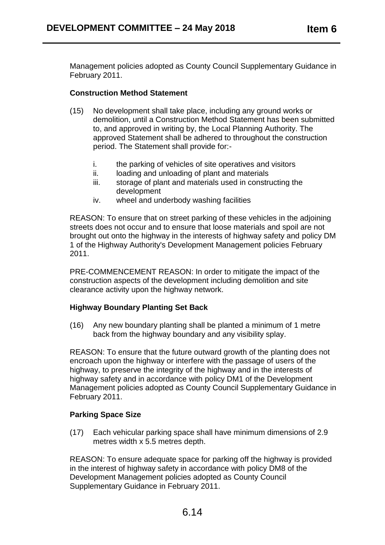Management policies adopted as County Council Supplementary Guidance in February 2011.

### **Construction Method Statement**

- (15) No development shall take place, including any ground works or demolition, until a Construction Method Statement has been submitted to, and approved in writing by, the Local Planning Authority. The approved Statement shall be adhered to throughout the construction period. The Statement shall provide for:
	- i. the parking of vehicles of site operatives and visitors
	- ii. loading and unloading of plant and materials
	- iii. storage of plant and materials used in constructing the development
	- iv. wheel and underbody washing facilities

REASON: To ensure that on street parking of these vehicles in the adjoining streets does not occur and to ensure that loose materials and spoil are not brought out onto the highway in the interests of highway safety and policy DM 1 of the Highway Authority's Development Management policies February 2011.

PRE-COMMENCEMENT REASON: In order to mitigate the impact of the construction aspects of the development including demolition and site clearance activity upon the highway network.

#### **Highway Boundary Planting Set Back**

(16) Any new boundary planting shall be planted a minimum of 1 metre back from the highway boundary and any visibility splay.

REASON: To ensure that the future outward growth of the planting does not encroach upon the highway or interfere with the passage of users of the highway, to preserve the integrity of the highway and in the interests of highway safety and in accordance with policy DM1 of the Development Management policies adopted as County Council Supplementary Guidance in February 2011.

# **Parking Space Size**

(17) Each vehicular parking space shall have minimum dimensions of 2.9 metres width x 5.5 metres depth.

REASON: To ensure adequate space for parking off the highway is provided in the interest of highway safety in accordance with policy DM8 of the Development Management policies adopted as County Council Supplementary Guidance in February 2011.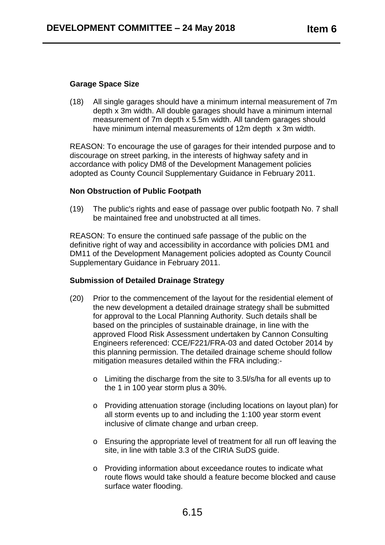### **Garage Space Size**

(18) All single garages should have a minimum internal measurement of 7m depth x 3m width. All double garages should have a minimum internal measurement of 7m depth x 5.5m width. All tandem garages should have minimum internal measurements of 12m depth x 3m width.

REASON: To encourage the use of garages for their intended purpose and to discourage on street parking, in the interests of highway safety and in accordance with policy DM8 of the Development Management policies adopted as County Council Supplementary Guidance in February 2011.

### **Non Obstruction of Public Footpath**

(19) The public's rights and ease of passage over public footpath No. 7 shall be maintained free and unobstructed at all times.

REASON: To ensure the continued safe passage of the public on the definitive right of way and accessibility in accordance with policies DM1 and DM11 of the Development Management policies adopted as County Council Supplementary Guidance in February 2011.

# **Submission of Detailed Drainage Strategy**

- (20) Prior to the commencement of the layout for the residential element of the new development a detailed drainage strategy shall be submitted for approval to the Local Planning Authority. Such details shall be based on the principles of sustainable drainage, in line with the approved Flood Risk Assessment undertaken by Cannon Consulting Engineers referenced: CCE/F221/FRA-03 and dated October 2014 by this planning permission. The detailed drainage scheme should follow mitigation measures detailed within the FRA including:
	- o Limiting the discharge from the site to 3.5l/s/ha for all events up to the 1 in 100 year storm plus a 30%.
	- o Providing attenuation storage (including locations on layout plan) for all storm events up to and including the 1:100 year storm event inclusive of climate change and urban creep.
	- o Ensuring the appropriate level of treatment for all run off leaving the site, in line with table 3.3 of the CIRIA SuDS quide.
	- o Providing information about exceedance routes to indicate what route flows would take should a feature become blocked and cause surface water flooding.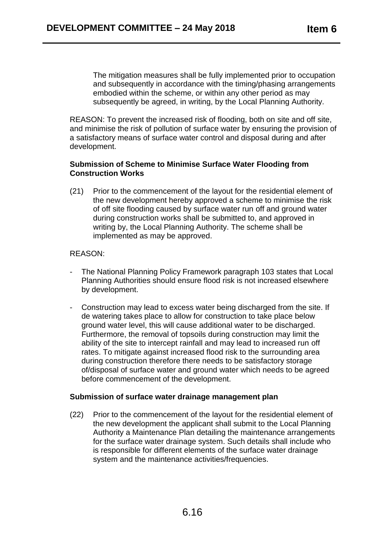The mitigation measures shall be fully implemented prior to occupation and subsequently in accordance with the timing/phasing arrangements embodied within the scheme, or within any other period as may subsequently be agreed, in writing, by the Local Planning Authority.

REASON: To prevent the increased risk of flooding, both on site and off site, and minimise the risk of pollution of surface water by ensuring the provision of a satisfactory means of surface water control and disposal during and after development.

#### **Submission of Scheme to Minimise Surface Water Flooding from Construction Works**

(21) Prior to the commencement of the layout for the residential element of the new development hereby approved a scheme to minimise the risk of off site flooding caused by surface water run off and ground water during construction works shall be submitted to, and approved in writing by, the Local Planning Authority. The scheme shall be implemented as may be approved.

#### REASON:

- The National Planning Policy Framework paragraph 103 states that Local Planning Authorities should ensure flood risk is not increased elsewhere by development.
- Construction may lead to excess water being discharged from the site. If de watering takes place to allow for construction to take place below ground water level, this will cause additional water to be discharged. Furthermore, the removal of topsoils during construction may limit the ability of the site to intercept rainfall and may lead to increased run off rates. To mitigate against increased flood risk to the surrounding area during construction therefore there needs to be satisfactory storage of/disposal of surface water and ground water which needs to be agreed before commencement of the development.

#### **Submission of surface water drainage management plan**

(22) Prior to the commencement of the layout for the residential element of the new development the applicant shall submit to the Local Planning Authority a Maintenance Plan detailing the maintenance arrangements for the surface water drainage system. Such details shall include who is responsible for different elements of the surface water drainage system and the maintenance activities/frequencies.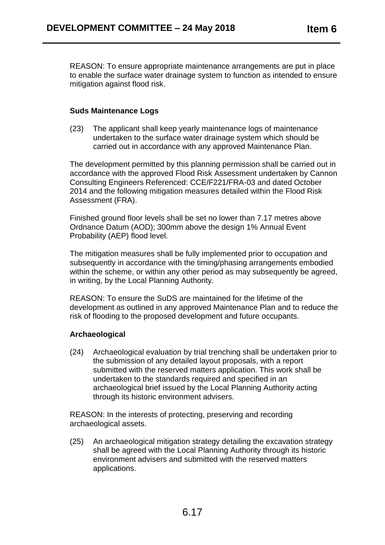REASON: To ensure appropriate maintenance arrangements are put in place to enable the surface water drainage system to function as intended to ensure mitigation against flood risk.

#### **Suds Maintenance Logs**

(23) The applicant shall keep yearly maintenance logs of maintenance undertaken to the surface water drainage system which should be carried out in accordance with any approved Maintenance Plan.

The development permitted by this planning permission shall be carried out in accordance with the approved Flood Risk Assessment undertaken by Cannon Consulting Engineers Referenced: CCE/F221/FRA-03 and dated October 2014 and the following mitigation measures detailed within the Flood Risk Assessment (FRA).

Finished ground floor levels shall be set no lower than 7.17 metres above Ordnance Datum (AOD); 300mm above the design 1% Annual Event Probability (AEP) flood level.

The mitigation measures shall be fully implemented prior to occupation and subsequently in accordance with the timing/phasing arrangements embodied within the scheme, or within any other period as may subsequently be agreed, in writing, by the Local Planning Authority.

REASON: To ensure the SuDS are maintained for the lifetime of the development as outlined in any approved Maintenance Plan and to reduce the risk of flooding to the proposed development and future occupants.

#### **Archaeological**

(24) Archaeological evaluation by trial trenching shall be undertaken prior to the submission of any detailed layout proposals, with a report submitted with the reserved matters application. This work shall be undertaken to the standards required and specified in an archaeological brief issued by the Local Planning Authority acting through its historic environment advisers.

REASON: In the interests of protecting, preserving and recording archaeological assets.

(25) An archaeological mitigation strategy detailing the excavation strategy shall be agreed with the Local Planning Authority through its historic environment advisers and submitted with the reserved matters applications.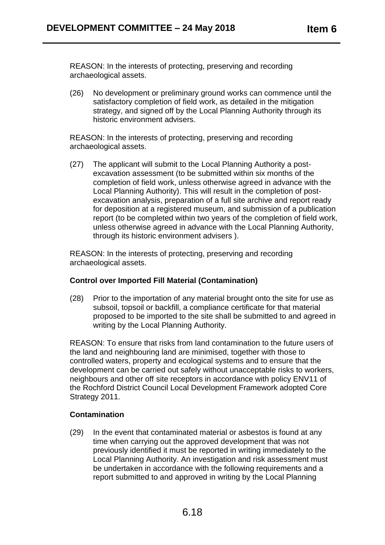REASON: In the interests of protecting, preserving and recording archaeological assets.

(26) No development or preliminary ground works can commence until the satisfactory completion of field work, as detailed in the mitigation strategy, and signed off by the Local Planning Authority through its historic environment advisers.

REASON: In the interests of protecting, preserving and recording archaeological assets.

(27) The applicant will submit to the Local Planning Authority a postexcavation assessment (to be submitted within six months of the completion of field work, unless otherwise agreed in advance with the Local Planning Authority). This will result in the completion of postexcavation analysis, preparation of a full site archive and report ready for deposition at a registered museum, and submission of a publication report (to be completed within two years of the completion of field work, unless otherwise agreed in advance with the Local Planning Authority, through its historic environment advisers ).

REASON: In the interests of protecting, preserving and recording archaeological assets.

# **Control over Imported Fill Material (Contamination)**

(28) Prior to the importation of any material brought onto the site for use as subsoil, topsoil or backfill, a compliance certificate for that material proposed to be imported to the site shall be submitted to and agreed in writing by the Local Planning Authority.

REASON: To ensure that risks from land contamination to the future users of the land and neighbouring land are minimised, together with those to controlled waters, property and ecological systems and to ensure that the development can be carried out safely without unacceptable risks to workers, neighbours and other off site receptors in accordance with policy ENV11 of the Rochford District Council Local Development Framework adopted Core Strategy 2011.

#### **Contamination**

(29) In the event that contaminated material or asbestos is found at any time when carrying out the approved development that was not previously identified it must be reported in writing immediately to the Local Planning Authority. An investigation and risk assessment must be undertaken in accordance with the following requirements and a report submitted to and approved in writing by the Local Planning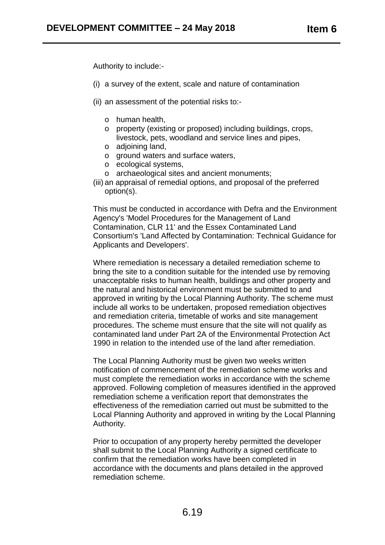Authority to include:-

- (i) a survey of the extent, scale and nature of contamination
- (ii) an assessment of the potential risks to:
	- o human health,
	- o property (existing or proposed) including buildings, crops, livestock, pets, woodland and service lines and pipes,
	- o adjoining land,
	- o ground waters and surface waters,
	- o ecological systems,
	- o archaeological sites and ancient monuments;
- (iii) an appraisal of remedial options, and proposal of the preferred option(s).

This must be conducted in accordance with Defra and the Environment Agency's 'Model Procedures for the Management of Land Contamination, CLR 11' and the Essex Contaminated Land Consortium's 'Land Affected by Contamination: Technical Guidance for Applicants and Developers'.

Where remediation is necessary a detailed remediation scheme to bring the site to a condition suitable for the intended use by removing unacceptable risks to human health, buildings and other property and the natural and historical environment must be submitted to and approved in writing by the Local Planning Authority. The scheme must include all works to be undertaken, proposed remediation objectives and remediation criteria, timetable of works and site management procedures. The scheme must ensure that the site will not qualify as contaminated land under Part 2A of the Environmental Protection Act 1990 in relation to the intended use of the land after remediation.

The Local Planning Authority must be given two weeks written notification of commencement of the remediation scheme works and must complete the remediation works in accordance with the scheme approved. Following completion of measures identified in the approved remediation scheme a verification report that demonstrates the effectiveness of the remediation carried out must be submitted to the Local Planning Authority and approved in writing by the Local Planning Authority.

Prior to occupation of any property hereby permitted the developer shall submit to the Local Planning Authority a signed certificate to confirm that the remediation works have been completed in accordance with the documents and plans detailed in the approved remediation scheme.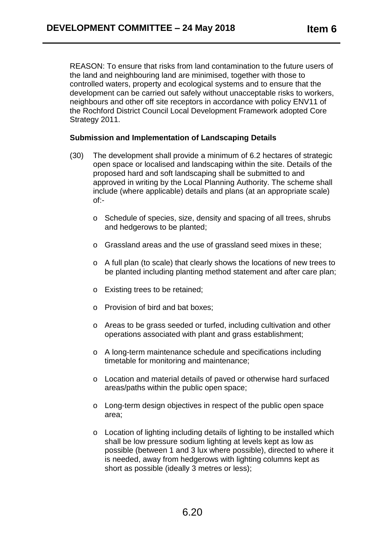REASON: To ensure that risks from land contamination to the future users of the land and neighbouring land are minimised, together with those to controlled waters, property and ecological systems and to ensure that the development can be carried out safely without unacceptable risks to workers, neighbours and other off site receptors in accordance with policy ENV11 of the Rochford District Council Local Development Framework adopted Core Strategy 2011.

#### **Submission and Implementation of Landscaping Details**

- (30) The development shall provide a minimum of 6.2 hectares of strategic open space or localised and landscaping within the site. Details of the proposed hard and soft landscaping shall be submitted to and approved in writing by the Local Planning Authority. The scheme shall include (where applicable) details and plans (at an appropriate scale) of:
	- o Schedule of species, size, density and spacing of all trees, shrubs and hedgerows to be planted;
	- o Grassland areas and the use of grassland seed mixes in these;
	- o A full plan (to scale) that clearly shows the locations of new trees to be planted including planting method statement and after care plan;
	- o Existing trees to be retained;
	- o Provision of bird and bat boxes;
	- o Areas to be grass seeded or turfed, including cultivation and other operations associated with plant and grass establishment;
	- o A long-term maintenance schedule and specifications including timetable for monitoring and maintenance;
	- o Location and material details of paved or otherwise hard surfaced areas/paths within the public open space;
	- o Long-term design objectives in respect of the public open space area;
	- o Location of lighting including details of lighting to be installed which shall be low pressure sodium lighting at levels kept as low as possible (between 1 and 3 lux where possible), directed to where it is needed, away from hedgerows with lighting columns kept as short as possible (ideally 3 metres or less);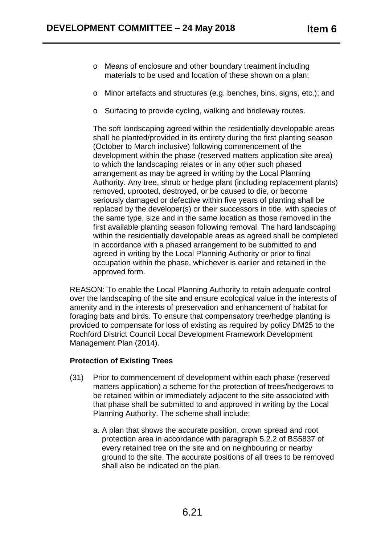- o Means of enclosure and other boundary treatment including materials to be used and location of these shown on a plan;
- o Minor artefacts and structures (e.g. benches, bins, signs, etc.); and
- o Surfacing to provide cycling, walking and bridleway routes.

The soft landscaping agreed within the residentially developable areas shall be planted/provided in its entirety during the first planting season (October to March inclusive) following commencement of the development within the phase (reserved matters application site area) to which the landscaping relates or in any other such phased arrangement as may be agreed in writing by the Local Planning Authority. Any tree, shrub or hedge plant (including replacement plants) removed, uprooted, destroyed, or be caused to die, or become seriously damaged or defective within five years of planting shall be replaced by the developer(s) or their successors in title, with species of the same type, size and in the same location as those removed in the first available planting season following removal. The hard landscaping within the residentially developable areas as agreed shall be completed in accordance with a phased arrangement to be submitted to and agreed in writing by the Local Planning Authority or prior to final occupation within the phase, whichever is earlier and retained in the approved form.

REASON: To enable the Local Planning Authority to retain adequate control over the landscaping of the site and ensure ecological value in the interests of amenity and in the interests of preservation and enhancement of habitat for foraging bats and birds. To ensure that compensatory tree/hedge planting is provided to compensate for loss of existing as required by policy DM25 to the Rochford District Council Local Development Framework Development Management Plan (2014).

#### **Protection of Existing Trees**

- (31) Prior to commencement of development within each phase (reserved matters application) a scheme for the protection of trees/hedgerows to be retained within or immediately adjacent to the site associated with that phase shall be submitted to and approved in writing by the Local Planning Authority. The scheme shall include:
	- a. A plan that shows the accurate position, crown spread and root protection area in accordance with paragraph 5.2.2 of BS5837 of every retained tree on the site and on neighbouring or nearby ground to the site. The accurate positions of all trees to be removed shall also be indicated on the plan.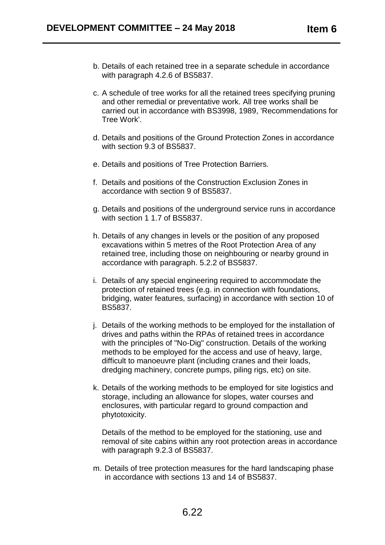- b. Details of each retained tree in a separate schedule in accordance with paragraph 4.2.6 of BS5837.
- c. A schedule of tree works for all the retained trees specifying pruning and other remedial or preventative work. All tree works shall be carried out in accordance with BS3998, 1989, 'Recommendations for Tree Work'.
- d. Details and positions of the Ground Protection Zones in accordance with section 9.3 of BS5837.
- e. Details and positions of Tree Protection Barriers.
- f. Details and positions of the Construction Exclusion Zones in accordance with section 9 of BS5837.
- g. Details and positions of the underground service runs in accordance with section 1 1.7 of BS5837.
- h. Details of any changes in levels or the position of any proposed excavations within 5 metres of the Root Protection Area of any retained tree, including those on neighbouring or nearby ground in accordance with paragraph. 5.2.2 of BS5837.
- i. Details of any special engineering required to accommodate the protection of retained trees (e.g. in connection with foundations, bridging, water features, surfacing) in accordance with section 10 of BS5837.
- j. Details of the working methods to be employed for the installation of drives and paths within the RPAs of retained trees in accordance with the principles of "No-Dig" construction. Details of the working methods to be employed for the access and use of heavy, large, difficult to manoeuvre plant (including cranes and their loads, dredging machinery, concrete pumps, piling rigs, etc) on site.
- k. Details of the working methods to be employed for site logistics and storage, including an allowance for slopes, water courses and enclosures, with particular regard to ground compaction and phytotoxicity.

Details of the method to be employed for the stationing, use and removal of site cabins within any root protection areas in accordance with paragraph 9.2.3 of BS5837.

m. Details of tree protection measures for the hard landscaping phase in accordance with sections 13 and 14 of BS5837.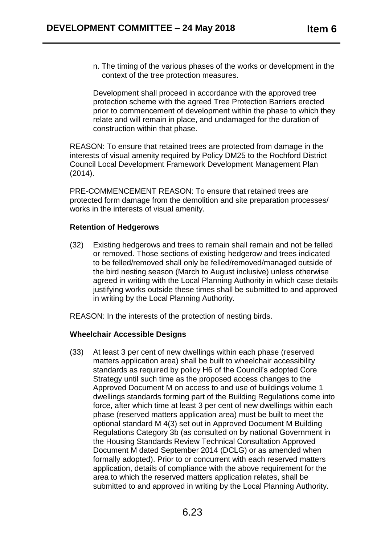n. The timing of the various phases of the works or development in the context of the tree protection measures.

Development shall proceed in accordance with the approved tree protection scheme with the agreed Tree Protection Barriers erected prior to commencement of development within the phase to which they relate and will remain in place, and undamaged for the duration of construction within that phase.

REASON: To ensure that retained trees are protected from damage in the interests of visual amenity required by Policy DM25 to the Rochford District Council Local Development Framework Development Management Plan (2014).

PRE-COMMENCEMENT REASON: To ensure that retained trees are protected form damage from the demolition and site preparation processes/ works in the interests of visual amenity.

#### **Retention of Hedgerows**

(32) Existing hedgerows and trees to remain shall remain and not be felled or removed. Those sections of existing hedgerow and trees indicated to be felled/removed shall only be felled/removed/managed outside of the bird nesting season (March to August inclusive) unless otherwise agreed in writing with the Local Planning Authority in which case details justifying works outside these times shall be submitted to and approved in writing by the Local Planning Authority.

REASON: In the interests of the protection of nesting birds.

#### **Wheelchair Accessible Designs**

(33) At least 3 per cent of new dwellings within each phase (reserved matters application area) shall be built to wheelchair accessibility standards as required by policy H6 of the Council's adopted Core Strategy until such time as the proposed access changes to the Approved Document M on access to and use of buildings volume 1 dwellings standards forming part of the Building Regulations come into force, after which time at least 3 per cent of new dwellings within each phase (reserved matters application area) must be built to meet the optional standard M 4(3) set out in Approved Document M Building Regulations Category 3b (as consulted on by national Government in the Housing Standards Review Technical Consultation Approved Document M dated September 2014 (DCLG) or as amended when formally adopted). Prior to or concurrent with each reserved matters application, details of compliance with the above requirement for the area to which the reserved matters application relates, shall be submitted to and approved in writing by the Local Planning Authority.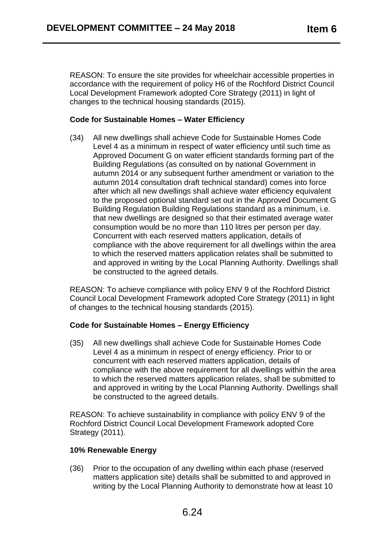REASON: To ensure the site provides for wheelchair accessible properties in accordance with the requirement of policy H6 of the Rochford District Council Local Development Framework adopted Core Strategy (2011) in light of changes to the technical housing standards (2015).

# **Code for Sustainable Homes – Water Efficiency**

(34) All new dwellings shall achieve Code for Sustainable Homes Code Level 4 as a minimum in respect of water efficiency until such time as Approved Document G on water efficient standards forming part of the Building Regulations (as consulted on by national Government in autumn 2014 or any subsequent further amendment or variation to the autumn 2014 consultation draft technical standard) comes into force after which all new dwellings shall achieve water efficiency equivalent to the proposed optional standard set out in the Approved Document G Building Regulation Building Regulations standard as a minimum, i.e. that new dwellings are designed so that their estimated average water consumption would be no more than 110 litres per person per day. Concurrent with each reserved matters application, details of compliance with the above requirement for all dwellings within the area to which the reserved matters application relates shall be submitted to and approved in writing by the Local Planning Authority. Dwellings shall be constructed to the agreed details.

REASON: To achieve compliance with policy ENV 9 of the Rochford District Council Local Development Framework adopted Core Strategy (2011) in light of changes to the technical housing standards (2015).

# **Code for Sustainable Homes – Energy Efficiency**

(35) All new dwellings shall achieve Code for Sustainable Homes Code Level 4 as a minimum in respect of energy efficiency. Prior to or concurrent with each reserved matters application, details of compliance with the above requirement for all dwellings within the area to which the reserved matters application relates, shall be submitted to and approved in writing by the Local Planning Authority. Dwellings shall be constructed to the agreed details.

REASON: To achieve sustainability in compliance with policy ENV 9 of the Rochford District Council Local Development Framework adopted Core Strategy (2011).

#### **10% Renewable Energy**

(36) Prior to the occupation of any dwelling within each phase (reserved matters application site) details shall be submitted to and approved in writing by the Local Planning Authority to demonstrate how at least 10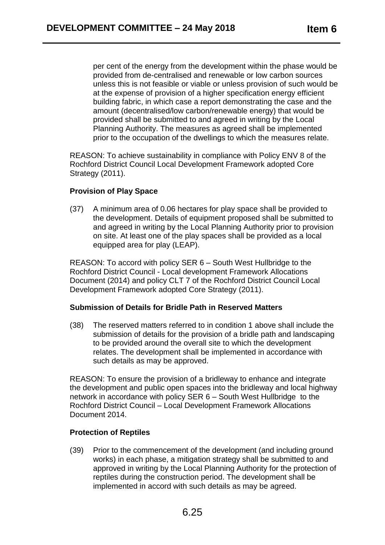per cent of the energy from the development within the phase would be provided from de-centralised and renewable or low carbon sources unless this is not feasible or viable or unless provision of such would be at the expense of provision of a higher specification energy efficient building fabric, in which case a report demonstrating the case and the amount (decentralised/low carbon/renewable energy) that would be provided shall be submitted to and agreed in writing by the Local Planning Authority. The measures as agreed shall be implemented prior to the occupation of the dwellings to which the measures relate.

REASON: To achieve sustainability in compliance with Policy ENV 8 of the Rochford District Council Local Development Framework adopted Core Strategy (2011).

### **Provision of Play Space**

(37) A minimum area of 0.06 hectares for play space shall be provided to the development. Details of equipment proposed shall be submitted to and agreed in writing by the Local Planning Authority prior to provision on site. At least one of the play spaces shall be provided as a local equipped area for play (LEAP).

REASON: To accord with policy SER 6 – South West Hullbridge to the Rochford District Council - Local development Framework Allocations Document (2014) and policy CLT 7 of the Rochford District Council Local Development Framework adopted Core Strategy (2011).

#### **Submission of Details for Bridle Path in Reserved Matters**

(38) The reserved matters referred to in condition 1 above shall include the submission of details for the provision of a bridle path and landscaping to be provided around the overall site to which the development relates. The development shall be implemented in accordance with such details as may be approved.

REASON: To ensure the provision of a bridleway to enhance and integrate the development and public open spaces into the bridleway and local highway network in accordance with policy SER 6 – South West Hullbridge to the Rochford District Council – Local Development Framework Allocations Document 2014.

#### **Protection of Reptiles**

(39) Prior to the commencement of the development (and including ground works) in each phase, a mitigation strategy shall be submitted to and approved in writing by the Local Planning Authority for the protection of reptiles during the construction period. The development shall be implemented in accord with such details as may be agreed.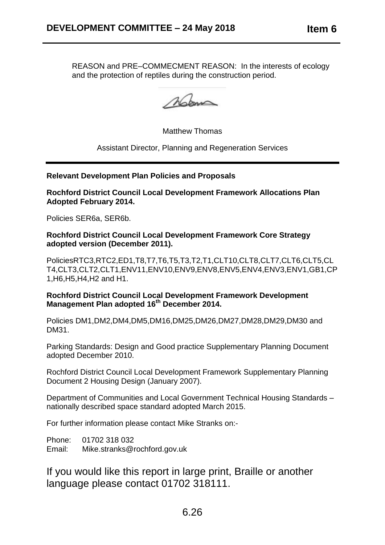REASON and PRE–COMMECMENT REASON: In the interests of ecology and the protection of reptiles during the construction period.

Mom

Matthew Thomas

Assistant Director, Planning and Regeneration Services

**Relevant Development Plan Policies and Proposals**

**Rochford District Council Local Development Framework Allocations Plan Adopted February 2014.**

Policies SER6a, SER6b.

**Rochford District Council Local Development Framework Core Strategy adopted version (December 2011).**

PoliciesRTC3,RTC2,ED1,T8,T7,T6,T5,T3,T2,T1,CLT10,CLT8,CLT7,CLT6,CLT5,CL T4,CLT3,CLT2,CLT1,ENV11,ENV10,ENV9,ENV8,ENV5,ENV4,ENV3,ENV1,GB1,CP 1,H6,H5,H4,H2 and H1.

**Rochford District Council Local Development Framework Development Management Plan adopted 16th December 2014.**

Policies DM1,DM2,DM4,DM5,DM16,DM25,DM26,DM27,DM28,DM29,DM30 and DM31.

Parking Standards: Design and Good practice Supplementary Planning Document adopted December 2010.

Rochford District Council Local Development Framework Supplementary Planning Document 2 Housing Design (January 2007).

Department of Communities and Local Government Technical Housing Standards – nationally described space standard adopted March 2015.

For further information please contact Mike Stranks on:-

Phone: 01702 318 032 Email: Mike.stranks@rochford.gov.uk

If you would like this report in large print, Braille or another language please contact 01702 318111.